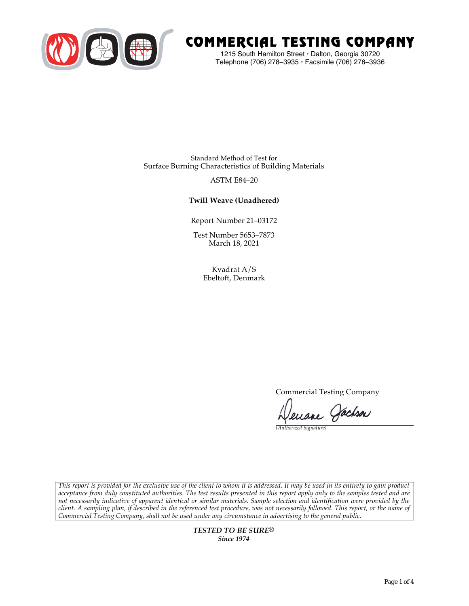

# COMMERCIAL TESTING COMPANY

1215 South Hamilton Street • Dalton, Georgia 30720 Telephone (706) 278–3935 **•** Facsimile (706) 278–3936

Standard Method of Test for Surface Burning Characteristics of Building Materials

## ASTM E84–20

## **Twill Weave (Unadhered)**

Report Number 21–03172

Test Number 5653–7873 March 18, 2021

> Kvadrat A/S Ebeltoft, Denmark

> > Commercial Testing Company

Jenane Jachson

*(Authorized Signature)* 

*This report is provided for the exclusive use of the client to whom it is addressed. It may be used in its entirety to gain product acceptance from duly constituted authorities. The test results presented in this report apply only to the samples tested and are not necessarily indicative of apparent identical or similar materials. Sample selection and identification were provided by the client. A sampling plan, if described in the referenced test procedure, was not necessarily followed. This report, or the name of Commercial Testing Company, shall not be used under any circumstance in advertising to the general public.* 

> *TESTED TO BE SURE® Since 1974*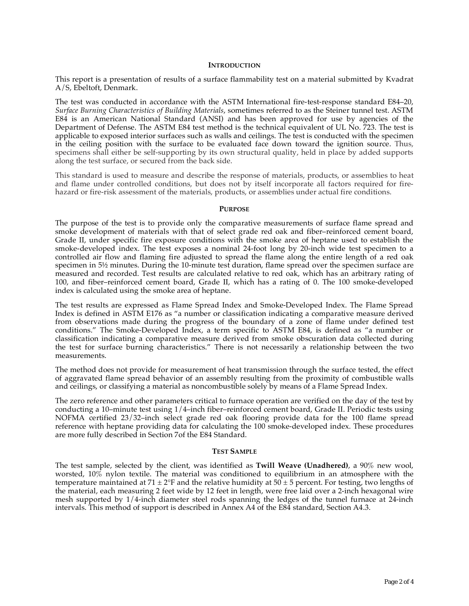#### **INTRODUCTION**

This report is a presentation of results of a surface flammability test on a material submitted by Kvadrat A/S, Ebeltoft, Denmark.

The test was conducted in accordance with the ASTM International fire-test-response standard E84–20, *Surface Burning Characteristics of Building Materials*, sometimes referred to as the Steiner tunnel test. ASTM E84 is an American National Standard (ANSI) and has been approved for use by agencies of the Department of Defense. The ASTM E84 test method is the technical equivalent of UL No. 723. The test is applicable to exposed interior surfaces such as walls and ceilings. The test is conducted with the specimen in the ceiling position with the surface to be evaluated face down toward the ignition source. Thus, specimens shall either be self-supporting by its own structural quality, held in place by added supports along the test surface, or secured from the back side.

This standard is used to measure and describe the response of materials, products, or assemblies to heat and flame under controlled conditions, but does not by itself incorporate all factors required for firehazard or fire-risk assessment of the materials, products, or assemblies under actual fire conditions.

#### **PURPOSE**

The purpose of the test is to provide only the comparative measurements of surface flame spread and smoke development of materials with that of select grade red oak and fiber–reinforced cement board, Grade II, under specific fire exposure conditions with the smoke area of heptane used to establish the smoke-developed index. The test exposes a nominal 24-foot long by 20-inch wide test specimen to a controlled air flow and flaming fire adjusted to spread the flame along the entire length of a red oak specimen in  $5\frac{1}{2}$  minutes. During the 10-minute test duration, flame spread over the specimen surface are measured and recorded. Test results are calculated relative to red oak, which has an arbitrary rating of 100, and fiber–reinforced cement board, Grade II, which has a rating of 0. The 100 smoke-developed index is calculated using the smoke area of heptane.

The test results are expressed as Flame Spread Index and Smoke-Developed Index. The Flame Spread Index is defined in ASTM E176 as "a number or classification indicating a comparative measure derived from observations made during the progress of the boundary of a zone of flame under defined test conditions." The Smoke-Developed Index, a term specific to ASTM E84, is defined as "a number or classification indicating a comparative measure derived from smoke obscuration data collected during the test for surface burning characteristics." There is not necessarily a relationship between the two measurements.

The method does not provide for measurement of heat transmission through the surface tested, the effect of aggravated flame spread behavior of an assembly resulting from the proximity of combustible walls and ceilings, or classifying a material as noncombustible solely by means of a Flame Spread Index.

The zero reference and other parameters critical to furnace operation are verified on the day of the test by conducting a 10–minute test using 1/4–inch fiber–reinforced cement board, Grade II. Periodic tests using NOFMA certified 23/32–inch select grade red oak flooring provide data for the 100 flame spread reference with heptane providing data for calculating the 100 smoke-developed index. These procedures are more fully described in Section 7of the E84 Standard.

#### **TEST SAMPLE**

The test sample, selected by the client, was identified as **Twill Weave (Unadhered)**, a 90% new wool, worsted, 10% nylon textile. The material was conditioned to equilibrium in an atmosphere with the temperature maintained at 71  $\pm$  2°F and the relative humidity at 50  $\pm$  5 percent. For testing, two lengths of the material, each measuring 2 feet wide by 12 feet in length, were free laid over a 2-inch hexagonal wire mesh supported by 1/4-inch diameter steel rods spanning the ledges of the tunnel furnace at 24-inch intervals. This method of support is described in Annex A4 of the E84 standard, Section A4.3.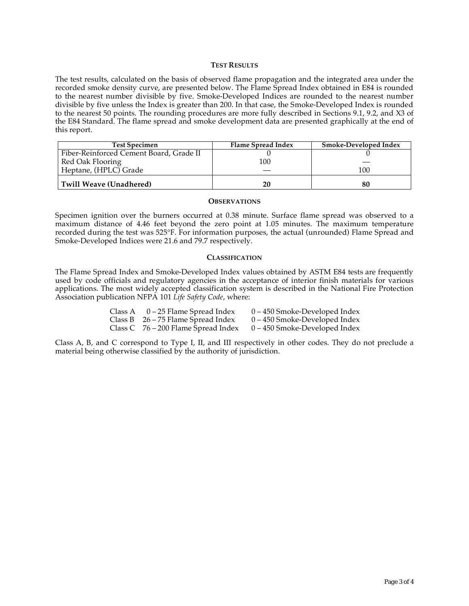#### **TEST RESULTS**

The test results, calculated on the basis of observed flame propagation and the integrated area under the recorded smoke density curve, are presented below. The Flame Spread Index obtained in E84 is rounded to the nearest number divisible by five. Smoke-Developed Indices are rounded to the nearest number divisible by five unless the Index is greater than 200. In that case, the Smoke-Developed Index is rounded to the nearest 50 points. The rounding procedures are more fully described in Sections 9.1, 9.2, and X3 of the E84 Standard. The flame spread and smoke development data are presented graphically at the end of this report.

| <b>Test Specimen</b>                    | Flame Spread Index | <b>Smoke-Developed Index</b> |
|-----------------------------------------|--------------------|------------------------------|
| Fiber-Reinforced Cement Board, Grade II |                    |                              |
| Red Oak Flooring                        | 100                |                              |
| Heptane, (HPLC) Grade                   |                    | 100                          |
| Twill Weave (Unadhered)                 | 20                 |                              |

#### **OBSERVATIONS**

Specimen ignition over the burners occurred at 0.38 minute. Surface flame spread was observed to a maximum distance of 4.46 feet beyond the zero point at 1.05 minutes. The maximum temperature recorded during the test was 525°F. For information purposes, the actual (unrounded) Flame Spread and Smoke-Developed Indices were 21.6 and 79.7 respectively.

#### **CLASSIFICATION**

The Flame Spread Index and Smoke-Developed Index values obtained by ASTM E84 tests are frequently used by code officials and regulatory agencies in the acceptance of interior finish materials for various applications. The most widely accepted classification system is described in the National Fire Protection Association publication NFPA 101 *Life Safety Code*, where:

| Class A $0-25$ Flame Spread Index     | $0 - 450$ Smoke-Developed Index |
|---------------------------------------|---------------------------------|
| Class B $26 - 75$ Flame Spread Index  | $0 - 450$ Smoke-Developed Index |
| Class C $76 - 200$ Flame Spread Index | $0 - 450$ Smoke-Developed Index |

Class A, B, and C correspond to Type I, II, and III respectively in other codes. They do not preclude a material being otherwise classified by the authority of jurisdiction.